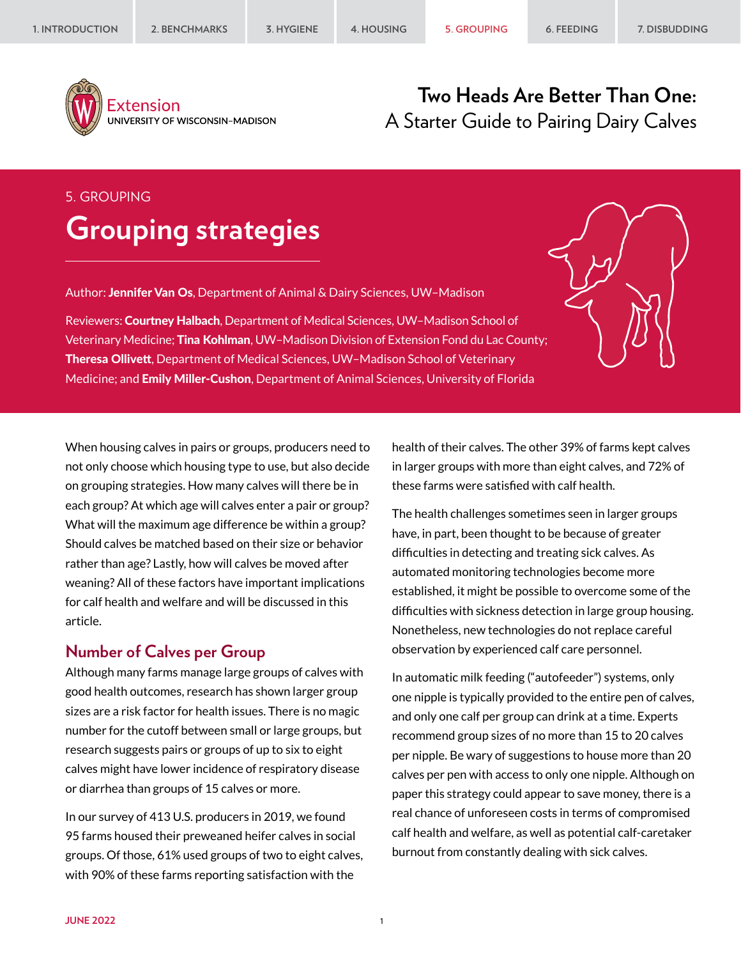

Extension UNIVERSITY OF WISCONSIN-MADISON

# **Two Heads Are Better Than One:** A Starter Guide to Pairing Dairy Calves

# 5. GROUPING **Grouping strategies**

Author: Jennifer Van Os, Department of Animal & Dairy Sciences, UW-Madison

Reviewers: Courtney Halbach, Department of Medical Sciences, UW-Madison School of Veterinary Medicine; Tina Kohlman, UW–Madison Division of Extension Fond du Lac County; Theresa Ollivett, Department of Medical Sciences, UW–Madison School of Veterinary Medicine; and Emily Miller-Cushon, Department of Animal Sciences, University of Florida

When housing calves in pairs or groups, producers need to not only choose which housing type to use, but also decide on grouping strategies. How many calves will there be in each group? At which age will calves enter a pair or group? What will the maximum age difference be within a group? Should calves be matched based on their size or behavior rather than age? Lastly, how will calves be moved after weaning? All of these factors have important implications for calf health and welfare and will be discussed in this article.

#### **Number of Calves per Group**

Although many farms manage large groups of calves with good health outcomes, research has shown larger group sizes are a risk factor for health issues. There is no magic number for the cutoff between small or large groups, but research suggests pairs or groups of up to six to eight calves might have lower incidence of respiratory disease or diarrhea than groups of 15 calves or more.

In our survey of 413 U.S. producers in 2019, we found 95 farms housed their preweaned heifer calves in social groups. Of those, 61% used groups of two to eight calves, with 90% of these farms reporting satisfaction with the

health of their calves. The other 39% of farms kept calves in larger groups with more than eight calves, and 72% of these farms were satisfied with calf health.

The health challenges sometimes seen in larger groups have, in part, been thought to be because of greater difficulties in detecting and treating sick calves. As automated monitoring technologies become more established, it might be possible to overcome some of the difficulties with sickness detection in large group housing. Nonetheless, new technologies do not replace careful observation by experienced calf care personnel.

In automatic milk feeding ("autofeeder") systems, only one nipple is typically provided to the entire pen of calves, and only one calf per group can drink at a time. Experts recommend group sizes of no more than 15 to 20 calves per nipple. Be wary of suggestions to house more than 20 calves per pen with access to only one nipple. Although on paper this strategy could appear to save money, there is a real chance of unforeseen costs in terms of compromised calf health and welfare, as well as potential calf-caretaker burnout from constantly dealing with sick calves.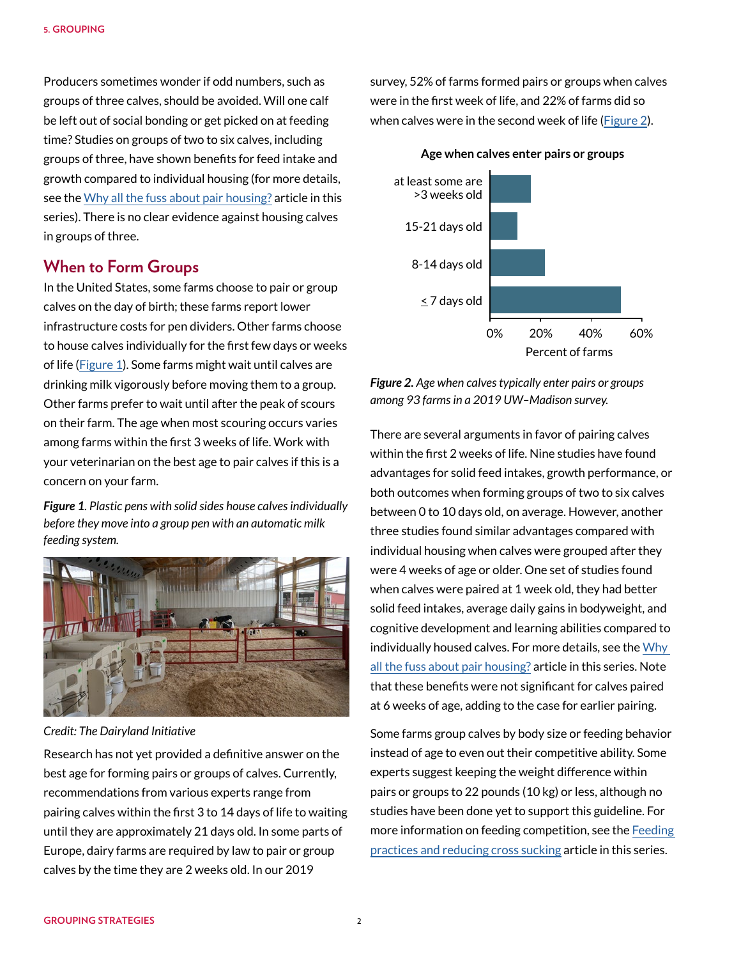Producers sometimes wonder if odd numbers, such as groups of three calves, should be avoided. Will one calf be left out of social bonding or get picked on at feeding time? Studies on groups of two to six calves, including groups of three, have shown benefits for feed intake and growth compared to individual housing (for more details, see the [Why all the fuss about pair housing?](https://animalwelfare.cals.wisc.edu/wp-content/uploads/sites/243/2022/06/01-introduction.pdf) article in this series). There is no clear evidence against housing calves in groups of three.

## **When to Form Groups**

In the United States, some farms choose to pair or group calves on the day of birth; these farms report lower infrastructure costs for pen dividers. Other farms choose to house calves individually for the first few days or weeks of life ([Figure 1](#page-1-0)). Some farms might wait until calves are drinking milk vigorously before moving them to a group. Other farms prefer to wait until after the peak of scours on their farm. The age when most scouring occurs varies among farms within the first 3 weeks of life. Work with your veterinarian on the best age to pair calves if this is a concern on your farm.

<span id="page-1-0"></span>*Figure 1. Plastic pens with solid sides house calves individually before they move into a group pen with an automatic milk feeding system.*



*Credit: The Dairyland Initiative*

Research has not yet provided a definitive answer on the best age for forming pairs or groups of calves. Currently, recommendations from various experts range from pairing calves within the first 3 to 14 days of life to waiting until they are approximately 21 days old. In some parts of Europe, dairy farms are required by law to pair or group calves by the time they are 2 weeks old. In our 2019

survey, 52% of farms formed pairs or groups when calves were in the first week of life, and 22% of farms did so when calves were in the second week of life [\(Figure 2\)](#page-1-1).

**Age when calves enter pairs or groups**



<span id="page-1-1"></span>*Figure 2. Age when calves typically enter pairs or groups among 93 farms in a 2019 UW–Madison survey.*

There are several arguments in favor of pairing calves within the first 2 weeks of life. Nine studies have found advantages for solid feed intakes, growth performance, or both outcomes when forming groups of two to six calves between 0 to 10 days old, on average. However, another three studies found similar advantages compared with individual housing when calves were grouped after they were 4 weeks of age or older. One set of studies found when calves were paired at 1 week old, they had better solid feed intakes, average daily gains in bodyweight, and cognitive development and learning abilities compared to individually housed calves. For more details, see the [Why](https://animalwelfare.cals.wisc.edu/wp-content/uploads/sites/243/2022/06/01-introduction.pdf)  [all the fuss about pair housing?](https://animalwelfare.cals.wisc.edu/wp-content/uploads/sites/243/2022/06/01-introduction.pdf) article in this series. Note that these benefits were not significant for calves paired at 6 weeks of age, adding to the case for earlier pairing.

Some farms group calves by body size or feeding behavior instead of age to even out their competitive ability. Some experts suggest keeping the weight difference within pairs or groups to 22 pounds (10 kg) or less, although no studies have been done yet to support this guideline. For more information on feeding competition, see the Feeding [practices and reducing cross sucking](https://animalwelfare.cals.wisc.edu/wp-content/uploads/sites/243/2022/06/06-feeding.pdf) article in this series.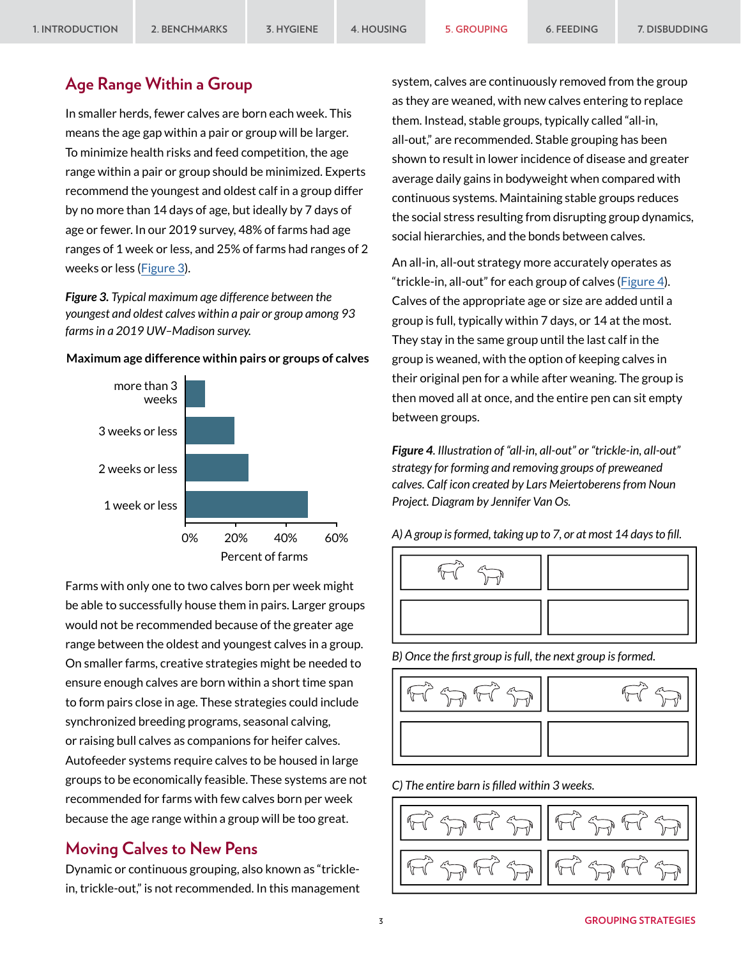### **Age Range Within a Group**

In smaller herds, fewer calves are born each week. This means the age gap within a pair or group will be larger. To minimize health risks and feed competition, the age range within a pair or group should be minimized. Experts recommend the youngest and oldest calf in a group differ by no more than 14 days of age, but ideally by 7 days of age or fewer. In our 2019 survey, 48% of farms had age ranges of 1 week or less, and 25% of farms had ranges of 2 weeks or less ([Figure 3](#page-2-0)).

<span id="page-2-0"></span>*Figure 3. Typical maximum age difference between the youngest and oldest calves within a pair or group among 93 farms in a 2019 UW–Madison survey.*



**Maximum age difference within pairs or groups of calves**

Farms with only one to two calves born per week might be able to successfully house them in pairs. Larger groups would not be recommended because of the greater age range between the oldest and youngest calves in a group. On smaller farms, creative strategies might be needed to ensure enough calves are born within a short time span to form pairs close in age. These strategies could include synchronized breeding programs, seasonal calving, or raising bull calves as companions for heifer calves. Autofeeder systems require calves to be housed in large groups to be economically feasible. These systems are not recommended for farms with few calves born per week because the age range within a group will be too great.

### **Moving Calves to New Pens**

Dynamic or continuous grouping, also known as "tricklein, trickle-out," is not recommended. In this management system, calves are continuously removed from the group as they are weaned, with new calves entering to replace them. Instead, stable groups, typically called "all-in, all-out," are recommended. Stable grouping has been shown to result in lower incidence of disease and greater average daily gains in bodyweight when compared with continuous systems. Maintaining stable groups reduces the social stress resulting from disrupting group dynamics, social hierarchies, and the bonds between calves.

An all-in, all-out strategy more accurately operates as "trickle-in, all-out" for each group of calves [\(Figure 4](#page-2-1)). Calves of the appropriate age or size are added until a group is full, typically within 7 days, or 14 at the most. They stay in the same group until the last calf in the group is weaned, with the option of keeping calves in their original pen for a while after weaning. The group is then moved all at once, and the entire pen can sit empty between groups.

<span id="page-2-1"></span>*Figure 4. Illustration of "all-in, all-out" or "trickle-in, all-out" strategy for forming and removing groups of preweaned calves. Calf icon created by Lars Meiertoberens from Noun Project. Diagram by Jennifer Van Os.*

*A) A group is formed, taking up to 7, or at most 14 days to fill.*



*B) Once the first group is full, the next group is formed.*



*C) The entire barn is filled within 3 weeks.*